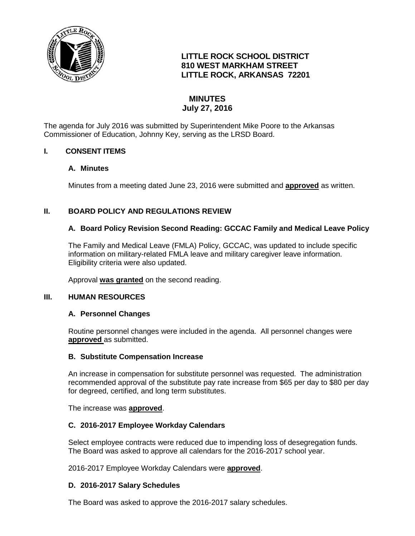

# **LITTLE ROCK SCHOOL DISTRICT 810 WEST MARKHAM STREET LITTLE ROCK, ARKANSAS 72201**

# **MINUTES July 27, 2016**

The agenda for July 2016 was submitted by Superintendent Mike Poore to the Arkansas Commissioner of Education, Johnny Key, serving as the LRSD Board.

## **I. CONSENT ITEMS**

#### **A. Minutes**

Minutes from a meeting dated June 23, 2016 were submitted and **approved** as written.

## **II. BOARD POLICY AND REGULATIONS REVIEW**

## **A. Board Policy Revision Second Reading: GCCAC Family and Medical Leave Policy**

The Family and Medical Leave (FMLA) Policy, GCCAC, was updated to include specific information on military-related FMLA leave and military caregiver leave information. Eligibility criteria were also updated.

Approval **was granted** on the second reading.

#### **III. HUMAN RESOURCES**

#### **A. Personnel Changes**

Routine personnel changes were included in the agenda. All personnel changes were **approved** as submitted.

#### **B. Substitute Compensation Increase**

An increase in compensation for substitute personnel was requested. The administration recommended approval of the substitute pay rate increase from \$65 per day to \$80 per day for degreed, certified, and long term substitutes.

The increase was **approved**.

#### **C. 2016-2017 Employee Workday Calendars**

Select employee contracts were reduced due to impending loss of desegregation funds. The Board was asked to approve all calendars for the 2016-2017 school year.

2016-2017 Employee Workday Calendars were **approved**.

#### **D. 2016-2017 Salary Schedules**

The Board was asked to approve the 2016-2017 salary schedules.